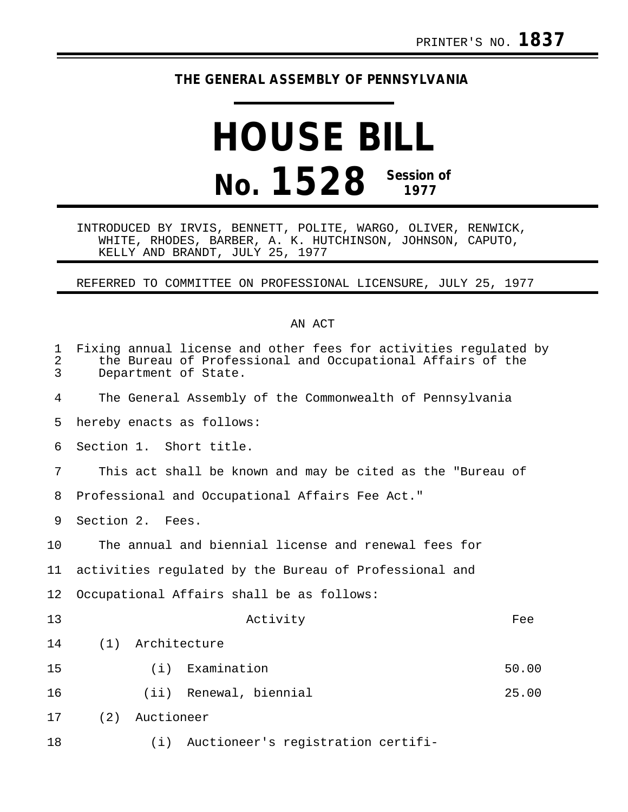## **THE GENERAL ASSEMBLY OF PENNSYLVANIA**

## **HOUSE BILL No. 1528 Session of 1977**

INTRODUCED BY IRVIS, BENNETT, POLITE, WARGO, OLIVER, RENWICK, WHITE, RHODES, BARBER, A. K. HUTCHINSON, JOHNSON, CAPUTO, KELLY AND BRANDT, JULY 25, 1977

REFERRED TO COMMITTEE ON PROFESSIONAL LICENSURE, JULY 25, 1977

## AN ACT

| $\mathbf 1$<br>$\overline{2}$<br>3 | Fixing annual license and other fees for activities regulated by<br>the Bureau of Professional and Occupational Affairs of the<br>Department of State. |  |  |  |  |  |
|------------------------------------|--------------------------------------------------------------------------------------------------------------------------------------------------------|--|--|--|--|--|
| 4                                  | The General Assembly of the Commonwealth of Pennsylvania                                                                                               |  |  |  |  |  |
| 5                                  | hereby enacts as follows:                                                                                                                              |  |  |  |  |  |
| 6                                  | Section 1. Short title.                                                                                                                                |  |  |  |  |  |
| 7                                  | This act shall be known and may be cited as the "Bureau of                                                                                             |  |  |  |  |  |
| 8                                  | Professional and Occupational Affairs Fee Act."                                                                                                        |  |  |  |  |  |
| 9                                  | Section 2. Fees.                                                                                                                                       |  |  |  |  |  |
| 10                                 | The annual and biennial license and renewal fees for                                                                                                   |  |  |  |  |  |
| 11                                 | activities regulated by the Bureau of Professional and                                                                                                 |  |  |  |  |  |
| 12                                 | Occupational Affairs shall be as follows:                                                                                                              |  |  |  |  |  |
| 13                                 | Activity<br>Fee                                                                                                                                        |  |  |  |  |  |
| 14                                 | (1)<br>Architecture                                                                                                                                    |  |  |  |  |  |
| 15                                 | Examination<br>50.00<br>(i)                                                                                                                            |  |  |  |  |  |
| 16                                 | (ii) Renewal, biennial<br>25.00                                                                                                                        |  |  |  |  |  |
| 17                                 | (2)<br>Auctioneer                                                                                                                                      |  |  |  |  |  |
| 18                                 | Auctioneer's registration certifi-<br>(i)                                                                                                              |  |  |  |  |  |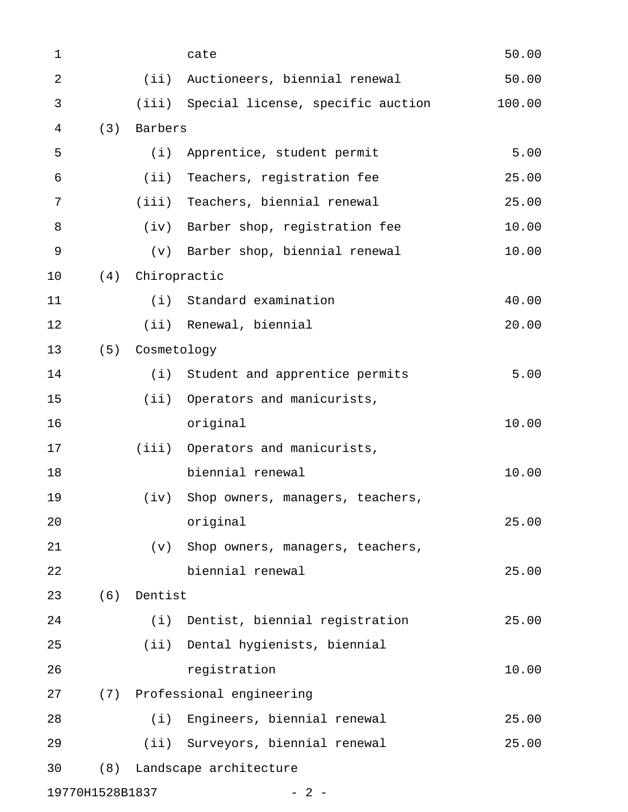| $\mathbf 1$     |     |             | cate                                    | 50.00  |
|-----------------|-----|-------------|-----------------------------------------|--------|
| $\overline{2}$  |     | (iii)       | Auctioneers, biennial renewal           | 50.00  |
| $\mathfrak{Z}$  |     |             | (iii) Special license, specific auction | 100.00 |
| 4               | (3) | Barbers     |                                         |        |
| 5               |     | (i)         | Apprentice, student permit              | 5.00   |
| 6               |     | (iii)       | Teachers, registration fee              | 25.00  |
| 7               |     |             | (iii) Teachers, biennial renewal        | 25.00  |
| 8               |     | (iv)        | Barber shop, registration fee           | 10.00  |
| 9               |     | (v)         | Barber shop, biennial renewal           | 10.00  |
| 10              | (4) |             | Chiropractic                            |        |
| 11              |     | (i)         | Standard examination                    | 40.00  |
| 12              |     | (iii)       | Renewal, biennial                       | 20.00  |
| 13              | (5) | Cosmetology |                                         |        |
| 14              |     | (i)         | Student and apprentice permits          | 5.00   |
| 15              |     | (iii)       | Operators and manicurists,              |        |
| 16              |     |             | original                                | 10.00  |
| 17              |     |             | (iii) Operators and manicurists,        |        |
| 18              |     |             | biennial renewal                        | 10.00  |
| 19              |     | (iv)        | Shop owners, managers, teachers,        |        |
| 20              |     |             | original                                | 25.00  |
| 21              |     | (v)         | Shop owners, managers, teachers,        |        |
| 22              |     |             | biennial renewal                        | 25.00  |
| 23              | (6) | Dentist     |                                         |        |
| 24              |     | (i)         | Dentist, biennial registration          | 25.00  |
| 25              |     |             | (ii) Dental hygienists, biennial        |        |
| 26              |     |             | registration                            | 10.00  |
| 27              |     |             | (7) Professional engineering            |        |
| 28              |     | (i)         | Engineers, biennial renewal             | 25.00  |
| 29              |     |             | (ii) Surveyors, biennial renewal        | 25.00  |
| 30              | (8) |             | Landscape architecture                  |        |
| 19770H1528B1837 |     |             | $-2-$                                   |        |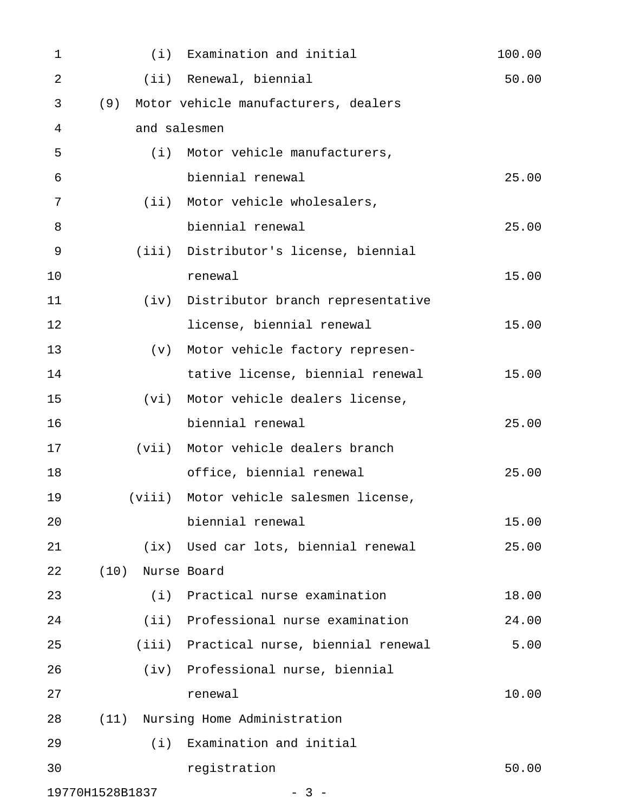| 1               |        |      | (i) Examination and initial              | 100.00 |
|-----------------|--------|------|------------------------------------------|--------|
| $\overline{2}$  |        |      | (ii) Renewal, biennial                   | 50.00  |
| 3               |        |      | (9) Motor vehicle manufacturers, dealers |        |
| 4               |        |      | and salesmen                             |        |
| 5               |        | (i)  | Motor vehicle manufacturers,             |        |
| 6               |        |      | biennial renewal                         | 25.00  |
| 7               |        |      | (ii) Motor vehicle wholesalers,          |        |
| 8               |        |      | biennial renewal                         | 25.00  |
| 9               |        |      | (iii) Distributor's license, biennial    |        |
| 10              |        |      | renewal                                  | 15.00  |
| 11              |        |      | (iv) Distributor branch representative   |        |
| 12              |        |      | license, biennial renewal                | 15.00  |
| 13              |        | (v)  | Motor vehicle factory represen-          |        |
| 14              |        |      | tative license, biennial renewal         | 15.00  |
| 15              |        | (vi) | Motor vehicle dealers license,           |        |
| 16              |        |      | biennial renewal                         | 25.00  |
| 17              |        |      | (vii) Motor vehicle dealers branch       |        |
| 18              |        |      | office, biennial renewal                 | 25.00  |
| 19              | (viii) |      | Motor vehicle salesmen license,          |        |
| 20              |        |      | biennial renewal                         | 15.00  |
| 21              |        |      | (ix) Used car lots, biennial renewal     | 25.00  |
| 22              | (10)   |      | Nurse Board                              |        |
| 23              |        | (i)  | Practical nurse examination              | 18.00  |
| 24              |        |      | (ii) Professional nurse examination      | 24.00  |
| 25              |        |      | (iii) Practical nurse, biennial renewal  | 5.00   |
| 26              |        |      | (iv) Professional nurse, biennial        |        |
| 27              |        |      | renewal                                  | 10.00  |
| 28              | (11)   |      | Nursing Home Administration              |        |
| 29              |        | (i)  | Examination and initial                  |        |
| 30              |        |      | registration                             | 50.00  |
| 19770H1528B1837 |        |      | $3 -$                                    |        |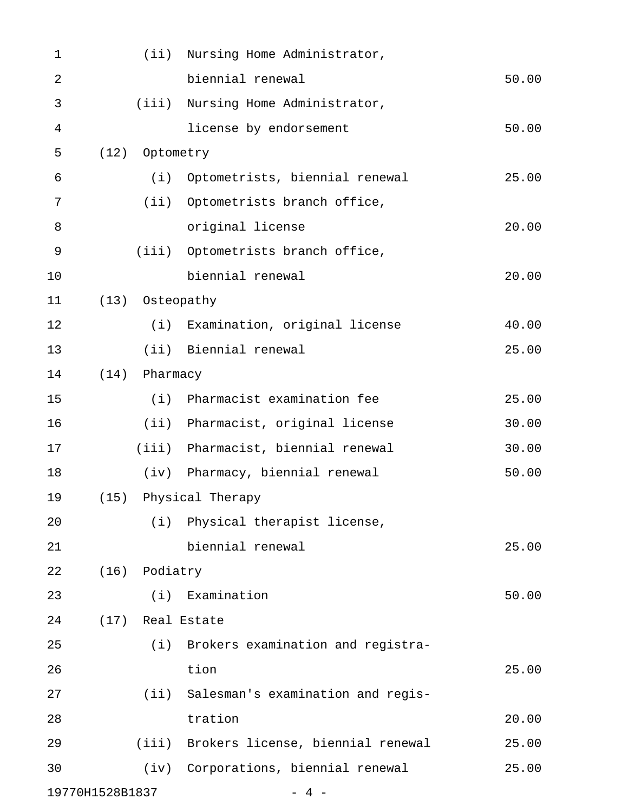| $\mathbf 1$     |      |                 | (ii) Nursing Home Administrator,        |       |
|-----------------|------|-----------------|-----------------------------------------|-------|
| $\overline{2}$  |      |                 | biennial renewal                        | 50.00 |
| 3               |      |                 | (iii) Nursing Home Administrator,       |       |
| $\overline{4}$  |      |                 | license by endorsement                  | 50.00 |
| 5               | (12) | Optometry       |                                         |       |
| 6               |      | (i)             | Optometrists, biennial renewal          | 25.00 |
| 7               |      |                 | (ii) Optometrists branch office,        |       |
| 8               |      |                 | original license                        | 20.00 |
| 9               |      |                 | (iii) Optometrists branch office,       |       |
| 10              |      |                 | biennial renewal                        | 20.00 |
| 11              |      | (13) Osteopathy |                                         |       |
| 12              |      |                 | (i) Examination, original license       | 40.00 |
| 13              |      |                 | (ii) Biennial renewal                   | 25.00 |
| 14              | (14) | Pharmacy        |                                         |       |
| 15              |      | (i)             | Pharmacist examination fee              | 25.00 |
| 16              |      |                 | (ii) Pharmacist, original license       | 30.00 |
| 17              |      |                 | (iii) Pharmacist, biennial renewal      | 30.00 |
| 18              |      | (iv)            | Pharmacy, biennial renewal              | 50.00 |
| 19              | (15) |                 | Physical Therapy                        |       |
| 20              |      |                 | (i) Physical therapist license,         |       |
| 21              |      |                 | biennial renewal                        | 25.00 |
| 22              | (16) | Podiatry        |                                         |       |
| 23              |      | (i)             | Examination                             | 50.00 |
| 24              |      |                 | (17) Real Estate                        |       |
| 25              |      | (i)             | Brokers examination and registra-       |       |
| 26              |      |                 | tion                                    | 25.00 |
| 27              |      |                 | (ii) Salesman's examination and regis-  |       |
| 28              |      |                 | tration                                 | 20.00 |
| 29              |      |                 | (iii) Brokers license, biennial renewal | 25.00 |
| 30              |      |                 | (iv) Corporations, biennial renewal     | 25.00 |
| 19770H1528B1837 |      |                 | 4                                       |       |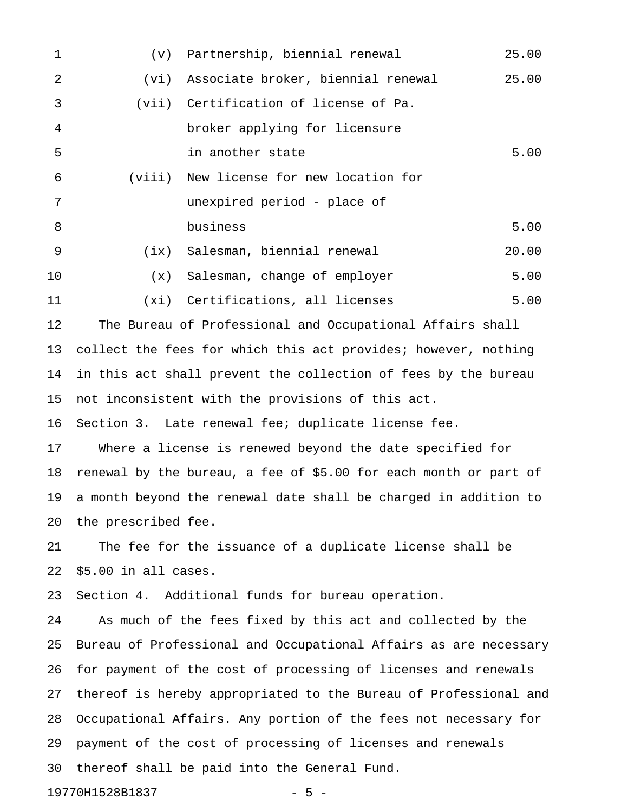| $\mathbf{1}$ | (v)    | Partnership, biennial renewal                                    | 25.00 |
|--------------|--------|------------------------------------------------------------------|-------|
| 2            | (vi)   | Associate broker, biennial renewal                               | 25.00 |
| 3            | (vii)  | Certification of license of Pa.                                  |       |
| 4            |        | broker applying for licensure                                    |       |
| 5            |        | in another state                                                 | 5.00  |
| 6            | (viii) | New license for new location for                                 |       |
| 7            |        | unexpired period - place of                                      |       |
| 8            |        | business                                                         | 5.00  |
| 9            | (ix)   | Salesman, biennial renewal                                       | 20.00 |
| 10           | (x)    | Salesman, change of employer                                     | 5.00  |
| 11           | (xi)   | Certifications, all licenses                                     | 5.00  |
| 12           |        | The Bureau of Professional and Occupational Affairs shall        |       |
| 13           |        | collect the fees for which this act provides; however, nothing   |       |
| 14           |        | in this act shall prevent the collection of fees by the bureau   |       |
| 15           |        | not inconsistent with the provisions of this act.                |       |
| 16           |        | Section 3. Late renewal fee; duplicate license fee.              |       |
| 17           |        | Where a license is renewed beyond the date specified for         |       |
| 18           |        | renewal by the bureau, a fee of \$5.00 for each month or part of |       |

19 a month beyond the renewal date shall be charged in addition to 20 the prescribed fee.

21 The fee for the issuance of a duplicate license shall be 22 \$5.00 in all cases.

23 Section 4. Additional funds for bureau operation.

24 As much of the fees fixed by this act and collected by the 25 Bureau of Professional and Occupational Affairs as are necessary 26 for payment of the cost of processing of licenses and renewals 27 thereof is hereby appropriated to the Bureau of Professional and 28 Occupational Affairs. Any portion of the fees not necessary for 29 payment of the cost of processing of licenses and renewals 30 thereof shall be paid into the General Fund.

19770H1528B1837 - 5 -